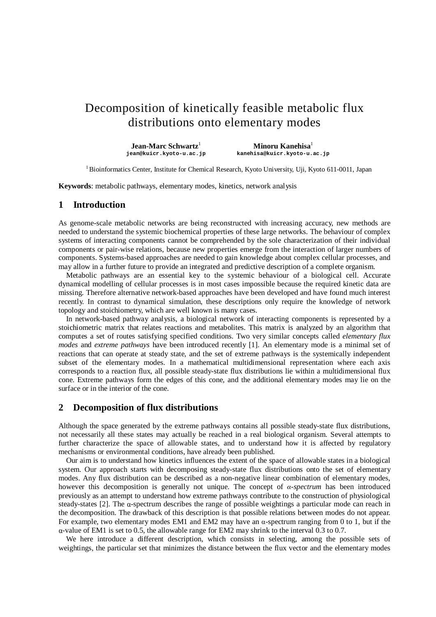# Decomposition of kinetically feasible metabolic flux distributions onto elementary modes

**Jean-Marc Schwartz Minoru Kanehisa jean@kuicr.kyoto-u.ac.jp kanehisa@kuicr.kyoto-u.ac.jp**

<sup>1</sup> Bioinformatics Center, Institute for Chemical Research, Kyoto University, Uji, Kyoto 611-0011, Japan

**Keywords**: metabolic pathways, elementary modes, kinetics, network analysis

## **1 Introduction**

As genome-scale metabolic networks are being reconstructed with increasing accuracy, new methods are needed to understand the systemic biochemical properties of these large networks. The behaviour of complex systems of interacting components cannot be comprehended by the sole characterization of their individual components or pair-wise relations, because new properties emerge from the interaction of larger numbers of components. Systems-based approaches are needed to gain knowledge about complex cellular processes, and may allow in a further future to provide an integrated and predictive description of a complete organism.

Metabolic pathways are an essential key to the systemic behaviour of a biological cell. Accurate dynamical modelling of cellular processes is in most cases impossible because the required kinetic data are missing. Therefore alternative network-based approaches have been developed and have found much interest recently. In contrast to dynamical simulation, these descriptions only require the knowledge of network topology and stoichiometry, which are well known is many cases.

In network-based pathway analysis, a biological network of interacting components is represented by a stoichiometric matrix that relates reactions and metabolites. This matrix is analyzed by an algorithm that computes a set of routes satisfying specified conditions. Two very similar concepts called *elementary flux modes* and *extreme pathways* have been introduced recently [1]. An elementary mode is a minimal set of reactions that can operate at steady state, and the set of extreme pathways is the systemically independent subset of the elementary modes. In a mathematical multidimensional representation where each axis corresponds to a reaction flux, all possible steady-state flux distributions lie within a multidimensional flux cone. Extreme pathways form the edges of this cone, and the additional elementary modes may lie on the surface or in the interior of the cone.

## **2 Decomposition of flux distributions**

Although the space generated by the extreme pathways contains all possible steady-state flux distributions, not necessarily all these states may actually be reached in a real biological organism. Several attempts to further characterize the space of allowable states, and to understand how it is affected by regulatory mechanisms or environmental conditions, have already been published.

Our aim is to understand how kinetics influences the extent of the space of allowable states in a biological system. Our approach starts with decomposing steady-state flux distributions onto the set of elementary modes. Any flux distribution can be described as a non-negative linear combination of elementary modes, however this decomposition is generally not unique. The concept of <sup>α</sup> *-spectrum* has been introduced previously as an attempt to understand how extreme pathways contribute to the construction of physiological steady-states [2]. The  $\alpha$ -spectrum describes the range of possible weightings a particular mode can reach in the decomposition. The drawback of this description is that possible relations between modes do not appear. For example, two elementary modes EM1 and EM2 may have an  $\alpha$ -spectrum ranging from 0 to 1, but if the <sup>α</sup> -value of EM1 is set to 0.5, the allowable range for EM2 may shrink to the interval 0.3 to 0.7.

We here introduce a different description, which consists in selecting, among the possible sets of weightings, the particular set that minimizes the distance between the flux vector and the elementary modes